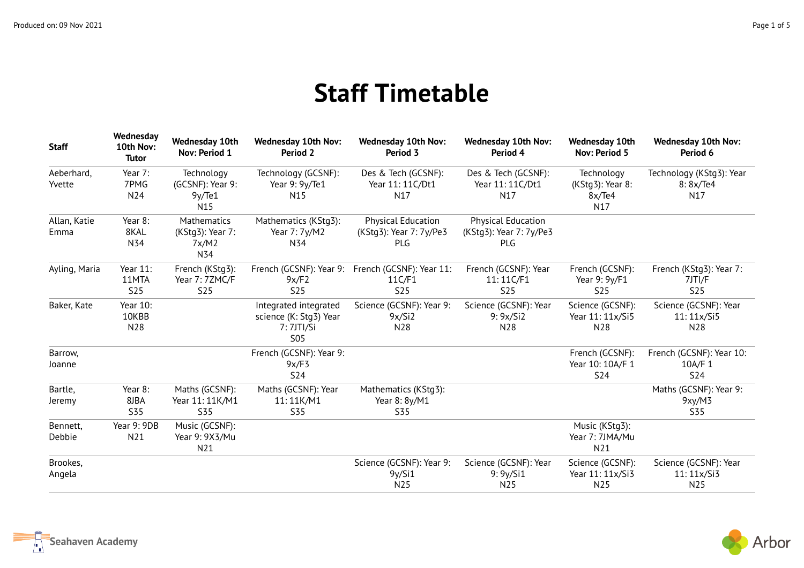## **Staff Timetable**

| <b>Staff</b>         | Wednesday<br>10th Nov:<br><b>Tutor</b> | <b>Wednesday 10th</b><br>Nov: Period 1                 | <b>Wednesday 10th Nov:</b><br>Period 2                                      | <b>Wednesday 10th Nov:</b><br>Period 3               | <b>Wednesday 10th Nov:</b><br>Period 4                      | <b>Wednesday 10th</b><br><b>Nov: Period 5</b>     | <b>Wednesday 10th Nov:</b><br>Period 6            |
|----------------------|----------------------------------------|--------------------------------------------------------|-----------------------------------------------------------------------------|------------------------------------------------------|-------------------------------------------------------------|---------------------------------------------------|---------------------------------------------------|
| Aeberhard,<br>Yvette | Year 7:<br>7PMG<br>N24                 | Technology<br>(GCSNF): Year 9:<br>9y/Te1<br>N15        | Technology (GCSNF):<br>Year 9: 9y/Te1<br>N15                                | Des & Tech (GCSNF):<br>Year 11: 11C/Dt1<br>N17       | Des & Tech (GCSNF):<br>Year 11: 11C/Dt1<br>N <sub>17</sub>  | Technology<br>(KStg3): Year 8:<br>8x/Te4<br>N17   | Technology (KStg3): Year<br>8:8x/Te4<br>N17       |
| Allan, Katie<br>Emma | Year 8:<br>8KAL<br>N34                 | <b>Mathematics</b><br>(KStg3): Year 7:<br>7x/M2<br>N34 | Mathematics (KStg3):<br>Year 7: 7y/M2<br>N34                                | Physical Education<br>(KStg3): Year 7: 7y/Pe3<br>PLG | <b>Physical Education</b><br>(KStg3): Year 7: 7y/Pe3<br>PLG |                                                   |                                                   |
| Ayling, Maria        | Year 11:<br>11MTA<br><b>S25</b>        | French (KStg3):<br>Year 7: 7ZMC/F<br><b>S25</b>        | French (GCSNF): Year 9:<br>9x/F2<br><b>S25</b>                              | French (GCSNF): Year 11:<br>11C/F1<br><b>S25</b>     | French (GCSNF): Year<br>11:11C/F1<br><b>S25</b>             | French (GCSNF):<br>Year 9: 9y/F1<br><b>S25</b>    | French (KStg3): Year 7:<br>7JTI/F<br><b>S25</b>   |
| Baker, Kate          | Year 10:<br>10KBB<br>N28               |                                                        | Integrated integrated<br>science (K: Stg3) Year<br>7: 7JTI/Si<br><b>S05</b> | Science (GCSNF): Year 9:<br>9x/Si2<br>N28            | Science (GCSNF): Year<br>9:9x/Si2<br>N <sub>28</sub>        | Science (GCSNF):<br>Year 11: 11x/Si5<br>N28       | Science (GCSNF): Year<br>11:11x/Si5<br>N28        |
| Barrow,<br>Joanne    |                                        |                                                        | French (GCSNF): Year 9:<br>9x/F3<br><b>S24</b>                              |                                                      |                                                             | French (GCSNF):<br>Year 10: 10A/F 1<br><b>S24</b> | French (GCSNF): Year 10:<br>10A/F 1<br><b>S24</b> |
| Bartle,<br>Jeremy    | Year 8:<br>8JBA<br><b>S35</b>          | Maths (GCSNF):<br>Year 11: 11K/M1<br><b>S35</b>        | Maths (GCSNF): Year<br>11:11K/M1<br><b>S35</b>                              | Mathematics (KStg3):<br>Year 8: 8y/M1<br><b>S35</b>  |                                                             |                                                   | Maths (GCSNF): Year 9:<br>9xy/M3<br>S35           |
| Bennett,<br>Debbie   | Year 9: 9DB<br>N21                     | Music (GCSNF):<br>Year 9: 9X3/Mu<br>N21                |                                                                             |                                                      |                                                             | Music (KStg3):<br>Year 7: 7JMA/Mu<br>N21          |                                                   |
| Brookes,<br>Angela   |                                        |                                                        |                                                                             | Science (GCSNF): Year 9:<br>9y/Si1<br>N25            | Science (GCSNF): Year<br>9: 9y/Si1<br>N25                   | Science (GCSNF):<br>Year 11: 11x/Si3<br>N25       | Science (GCSNF): Year<br>11:11x/Si3<br>N25        |

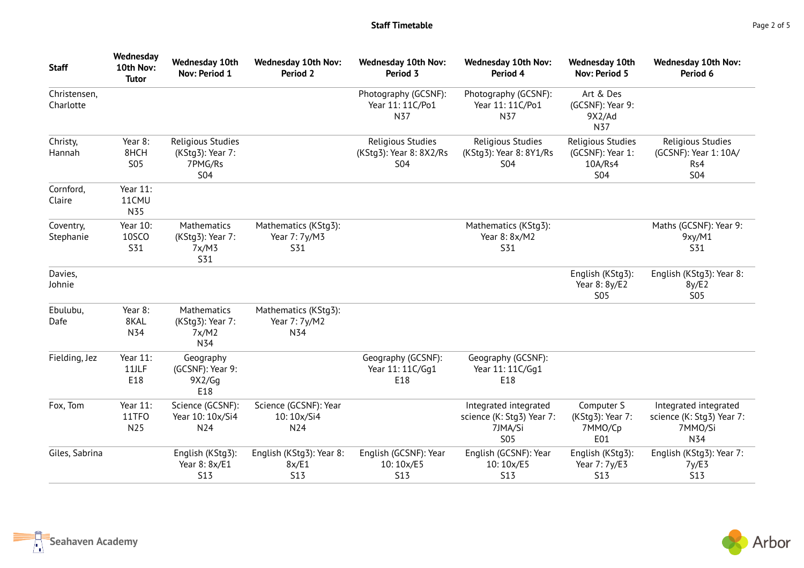| <b>Staff</b>              | Wednesday<br>10th Nov:<br><b>Tutor</b> | <b>Wednesday 10th</b><br>Nov: Period 1                         | <b>Wednesday 10th Nov:</b><br>Period 2          | <b>Wednesday 10th Nov:</b><br>Period 3                     | <b>Wednesday 10th Nov:</b><br>Period 4                                      | <b>Wednesday 10th</b><br>Nov: Period 5                         | <b>Wednesday 10th Nov:</b><br>Period 6                               |
|---------------------------|----------------------------------------|----------------------------------------------------------------|-------------------------------------------------|------------------------------------------------------------|-----------------------------------------------------------------------------|----------------------------------------------------------------|----------------------------------------------------------------------|
| Christensen,<br>Charlotte |                                        |                                                                |                                                 | Photography (GCSNF):<br>Year 11: 11C/Po1<br>N37            | Photography (GCSNF):<br>Year 11: 11C/Po1<br>N37                             | Art & Des<br>(GCSNF): Year 9:<br>9X2/Ad<br>N37                 |                                                                      |
| Christy,<br>Hannah        | Year 8:<br>8HCH<br><b>S05</b>          | Religious Studies<br>(KStg3): Year 7:<br>7PMG/Rs<br><b>S04</b> |                                                 | Religious Studies<br>(KStg3): Year 8: 8X2/Rs<br><b>S04</b> | Religious Studies<br>(KStg3): Year 8: 8Y1/Rs<br><b>S04</b>                  | Religious Studies<br>(GCSNF): Year 1:<br>10A/Rs4<br><b>S04</b> | Religious Studies<br>(GCSNF): Year 1: 10A/<br>Rs4<br><b>S04</b>      |
| Cornford,<br>Claire       | Year 11:<br>11CMU<br>N35               |                                                                |                                                 |                                                            |                                                                             |                                                                |                                                                      |
| Coventry,<br>Stephanie    | Year 10:<br><b>10SCO</b><br><b>S31</b> | Mathematics<br>(KStg3): Year 7:<br>7x/M3<br>S31                | Mathematics (KStg3):<br>Year 7: 7y/M3<br>S31    |                                                            | Mathematics (KStq3):<br>Year 8: 8x/M2<br>S31                                |                                                                | Maths (GCSNF): Year 9:<br>9xy/M1<br>S31                              |
| Davies,<br>Johnie         |                                        |                                                                |                                                 |                                                            |                                                                             | English (KStg3):<br>Year 8: 8y/E2<br><b>S05</b>                | English (KStg3): Year 8:<br>8y/E2<br><b>S05</b>                      |
| Ebulubu,<br>Dafe          | Year 8:<br>8KAL<br>N34                 | Mathematics<br>(KStg3): Year 7:<br>7x/M2<br>N34                | Mathematics (KStg3):<br>Year 7: 7y/M2<br>N34    |                                                            |                                                                             |                                                                |                                                                      |
| Fielding, Jez             | Year 11:<br>11JLF<br>E18               | Geography<br>(GCSNF): Year 9:<br>9X2/Gg<br>E18                 |                                                 | Geography (GCSNF):<br>Year 11: 11C/Gq1<br>E18              | Geography (GCSNF):<br>Year 11: 11C/Gq1<br>E18                               |                                                                |                                                                      |
| Fox, Tom                  | Year 11:<br>11TFO<br>N25               | Science (GCSNF):<br>Year 10: 10x/Si4<br>N24                    | Science (GCSNF): Year<br>10:10x/Si4<br>N24      |                                                            | Integrated integrated<br>science (K: Stg3) Year 7:<br>7JMA/Si<br><b>S05</b> | Computer S<br>(KStg3): Year 7:<br>7MMO/Cp<br>E01               | Integrated integrated<br>science (K: Stg3) Year 7:<br>7MMO/Si<br>N34 |
| Giles, Sabrina            |                                        | English (KStg3):<br>Year 8: 8x/E1<br><b>S13</b>                | English (KStg3): Year 8:<br>8x/E1<br><b>S13</b> | English (GCSNF): Year<br>10:10x/E5<br><b>S13</b>           | English (GCSNF): Year<br>10:10x/E5<br><b>S13</b>                            | English (KStg3):<br>Year 7: 7y/E3<br><b>S13</b>                | English (KStg3): Year 7:<br>7y/E3<br><b>S13</b>                      |

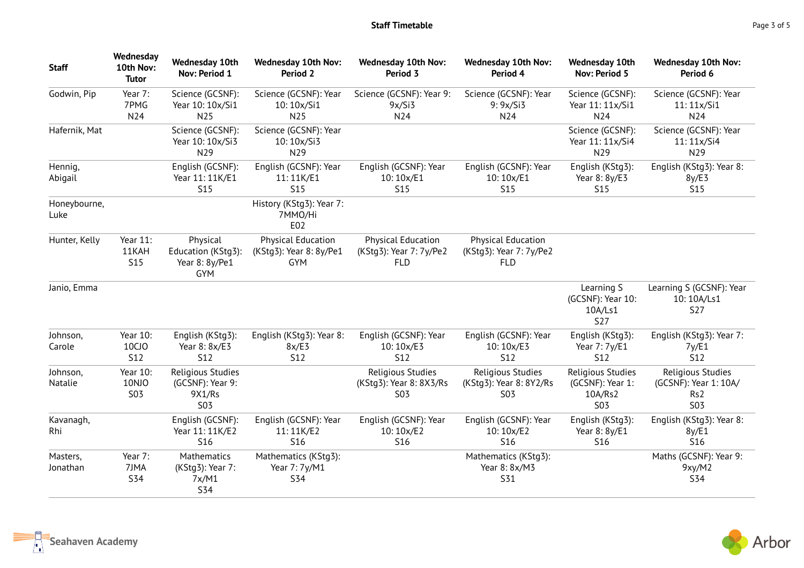| <b>Staff</b>         | Wednesday<br>10th Nov:<br><b>Tutor</b>      | <b>Wednesday 10th</b><br>Nov: Period 1                        | <b>Wednesday 10th Nov:</b><br>Period 2                             | <b>Wednesday 10th Nov:</b><br>Period 3                             | <b>Wednesday 10th Nov:</b><br>Period 4                             | <b>Wednesday 10th</b><br>Nov: Period 5                         | <b>Wednesday 10th Nov:</b><br>Period 6                                      |
|----------------------|---------------------------------------------|---------------------------------------------------------------|--------------------------------------------------------------------|--------------------------------------------------------------------|--------------------------------------------------------------------|----------------------------------------------------------------|-----------------------------------------------------------------------------|
| Godwin, Pip          | Year 7:<br>7PMG<br>N24                      | Science (GCSNF):<br>Year 10: 10x/Si1<br>N <sub>25</sub>       | Science (GCSNF): Year<br>10:10x/Si1<br>N <sub>25</sub>             | Science (GCSNF): Year 9:<br>9x/Si3<br>N24                          | Science (GCSNF): Year<br>9:9x/Si3<br>N24                           | Science (GCSNF):<br>Year 11: 11x/Si1<br>N24                    | Science (GCSNF): Year<br>11:11x/Si1<br>N <sub>24</sub>                      |
| Hafernik, Mat        |                                             | Science (GCSNF):<br>Year 10: 10x/Si3<br>N29                   | Science (GCSNF): Year<br>10:10x/Si3<br>N29                         |                                                                    |                                                                    | Science (GCSNF):<br>Year 11: 11x/Si4<br>N29                    | Science (GCSNF): Year<br>11: 11x/Si4<br>N29                                 |
| Hennig,<br>Abigail   |                                             | English (GCSNF):<br>Year 11: 11K/E1<br>S15                    | English (GCSNF): Year<br>11:11K/E1<br><b>S15</b>                   | English (GCSNF): Year<br>10:10x/E1<br><b>S15</b>                   | English (GCSNF): Year<br>10:10x/E1<br><b>S15</b>                   | English (KStg3):<br>Year 8: 8y/E3<br><b>S15</b>                | English (KStg3): Year 8:<br>8y/E3<br><b>S15</b>                             |
| Honeybourne,<br>Luke |                                             |                                                               | History (KStg3): Year 7:<br>7MMO/Hi<br>E02                         |                                                                    |                                                                    |                                                                |                                                                             |
| Hunter, Kelly        | Year 11:<br>11KAH<br><b>S15</b>             | Physical<br>Education (KStg3):<br>Year 8: 8y/Pe1<br>GYM       | <b>Physical Education</b><br>(KStg3): Year 8: 8y/Pe1<br><b>GYM</b> | <b>Physical Education</b><br>(KStg3): Year 7: 7y/Pe2<br><b>FLD</b> | <b>Physical Education</b><br>(KStg3): Year 7: 7y/Pe2<br><b>FLD</b> |                                                                |                                                                             |
| Janio, Emma          |                                             |                                                               |                                                                    |                                                                    |                                                                    | Learning S<br>(GCSNF): Year 10:<br>10A/Ls1<br><b>S27</b>       | Learning S (GCSNF): Year<br>10:10A/Ls1<br><b>S27</b>                        |
| Johnson,<br>Carole   | Year 10:<br>10CJ <sub>O</sub><br><b>S12</b> | English (KStg3):<br>Year 8: 8x/E3<br><b>S12</b>               | English (KStg3): Year 8:<br>8x/E3<br><b>S12</b>                    | English (GCSNF): Year<br>10:10x/E3<br><b>S12</b>                   | English (GCSNF): Year<br>10:10x/E3<br><b>S12</b>                   | English (KStg3):<br>Year 7: 7y/E1<br><b>S12</b>                | English (KStg3): Year 7:<br>7y/E1<br><b>S12</b>                             |
| Johnson,<br>Natalie  | Year 10:<br>10NJO<br><b>S03</b>             | Religious Studies<br>(GCSNF): Year 9:<br>9X1/Rs<br><b>S03</b> |                                                                    | Religious Studies<br>(KStg3): Year 8: 8X3/Rs<br><b>S03</b>         | Religious Studies<br>(KStg3): Year 8: 8Y2/Rs<br><b>S03</b>         | Religious Studies<br>(GCSNF): Year 1:<br>10A/Rs2<br><b>S03</b> | Religious Studies<br>(GCSNF): Year 1: 10A/<br>Rs <sub>2</sub><br><b>S03</b> |
| Kavanagh,<br>Rhi     |                                             | English (GCSNF):<br>Year 11: 11K/E2<br><b>S16</b>             | English (GCSNF): Year<br>11:11K/E2<br><b>S16</b>                   | English (GCSNF): Year<br>10:10x/E2<br><b>S16</b>                   | English (GCSNF): Year<br>10:10x/E2<br><b>S16</b>                   | English (KStg3):<br>Year 8: 8y/E1<br>S16                       | English (KStg3): Year 8:<br>8y/E1<br>S16                                    |
| Masters,<br>Jonathan | Year 7:<br>7JMA<br><b>S34</b>               | Mathematics<br>(KStg3): Year 7:<br>7x/M1<br><b>S34</b>        | Mathematics (KStg3):<br>Year 7: 7y/M1<br><b>S34</b>                |                                                                    | Mathematics (KStg3):<br>Year 8: 8x/M3<br>S31                       |                                                                | Maths (GCSNF): Year 9:<br>9xy/M2<br><b>S34</b>                              |



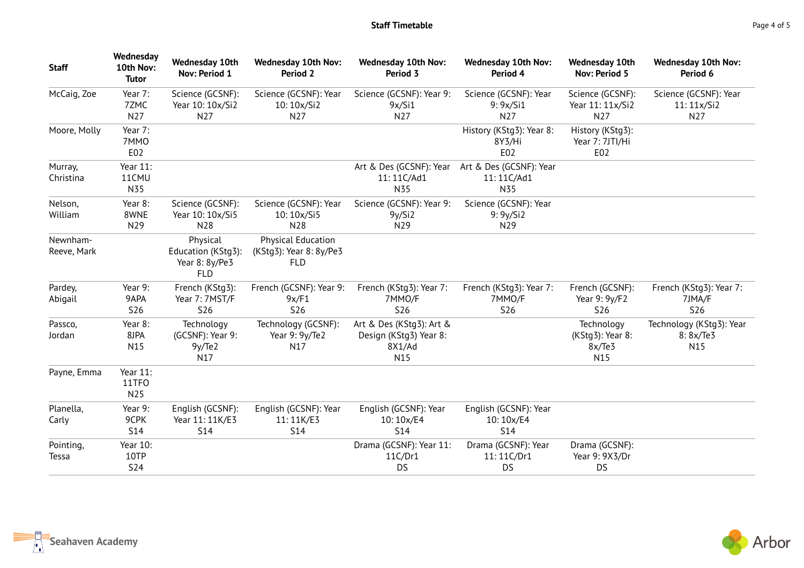| <b>Staff</b>            | Wednesday<br>10th Nov:<br><b>Tutor</b> | <b>Wednesday 10th</b><br>Nov: Period 1                         | <b>Wednesday 10th Nov:</b><br>Period 2                             | <b>Wednesday 10th Nov:</b><br>Period 3                                          | <b>Wednesday 10th Nov:</b><br>Period 4           | <b>Wednesday 10th</b><br>Nov: Period 5          | <b>Wednesday 10th Nov:</b><br>Period 6          |
|-------------------------|----------------------------------------|----------------------------------------------------------------|--------------------------------------------------------------------|---------------------------------------------------------------------------------|--------------------------------------------------|-------------------------------------------------|-------------------------------------------------|
| McCaig, Zoe             | Year 7:<br>7ZMC<br>N27                 | Science (GCSNF):<br>Year 10: 10x/Si2<br>N27                    | Science (GCSNF): Year<br>10:10x/Si2<br>N27                         | Science (GCSNF): Year 9:<br>9x/Si1<br>N27                                       | Science (GCSNF): Year<br>9: 9x/Si1<br>N27        | Science (GCSNF):<br>Year 11: 11x/Si2<br>N27     | Science (GCSNF): Year<br>11: 11x/Si2<br>N27     |
| Moore, Molly            | Year 7:<br>7MMO<br>E02                 |                                                                |                                                                    |                                                                                 | History (KStg3): Year 8:<br>8Y3/Hi<br>E02        | History (KStg3):<br>Year 7: 7JTI/Hi<br>E02      |                                                 |
| Murray,<br>Christina    | Year 11:<br>11CMU<br>N35               |                                                                |                                                                    | Art & Des (GCSNF): Year<br>11:11C/Ad1<br>N35                                    | Art & Des (GCSNF): Year<br>11:11C/Ad1<br>N35     |                                                 |                                                 |
| Nelson,<br>William      | Year 8:<br>8WNE<br>N29                 | Science (GCSNF):<br>Year 10: 10x/Si5<br>N28                    | Science (GCSNF): Year<br>10:10x/Si5<br>N28                         | Science (GCSNF): Year 9:<br>9y/Si2<br>N29                                       | Science (GCSNF): Year<br>9:9y/Si2<br>N29         |                                                 |                                                 |
| Newnham-<br>Reeve, Mark |                                        | Physical<br>Education (KStg3):<br>Year 8: 8y/Pe3<br><b>FLD</b> | <b>Physical Education</b><br>(KStg3): Year 8: 8y/Pe3<br><b>FLD</b> |                                                                                 |                                                  |                                                 |                                                 |
| Pardey,<br>Abigail      | Year 9:<br>9APA<br><b>S26</b>          | French (KStg3):<br>Year 7: 7MST/F<br>S26                       | French (GCSNF): Year 9:<br>9x/F1<br><b>S26</b>                     | French (KStg3): Year 7:<br>7MMO/F<br><b>S26</b>                                 | French (KStg3): Year 7:<br>7MMO/F<br>S26         | French (GCSNF):<br>Year 9: 9y/F2<br><b>S26</b>  | French (KStg3): Year 7:<br>7JMA/F<br><b>S26</b> |
| Passco,<br>Jordan       | Year 8:<br>8JPA<br>N15                 | Technology<br>(GCSNF): Year 9:<br>9y/Te2<br>N17                | Technology (GCSNF):<br>Year 9: 9y/Te2<br>N17                       | Art & Des (KStg3): Art &<br>Design (KStg3) Year 8:<br>8X1/Ad<br>N <sub>15</sub> |                                                  | Technology<br>(KStg3): Year 8:<br>8x/Te3<br>N15 | Technology (KStg3): Year<br>8:8x/Te3<br>N15     |
| Payne, Emma             | Year 11:<br>11TFO<br>N25               |                                                                |                                                                    |                                                                                 |                                                  |                                                 |                                                 |
| Planella,<br>Carly      | Year 9:<br>9CPK<br><b>S14</b>          | English (GCSNF):<br>Year 11: 11K/E3<br><b>S14</b>              | English (GCSNF): Year<br>11:11K/E3<br><b>S14</b>                   | English (GCSNF): Year<br>10:10x/E4<br><b>S14</b>                                | English (GCSNF): Year<br>10:10x/E4<br><b>S14</b> |                                                 |                                                 |
| Pointing,<br>Tessa      | Year 10:<br>10TP<br><b>S24</b>         |                                                                |                                                                    | Drama (GCSNF): Year 11:<br>11C/Dr1<br>DS                                        | Drama (GCSNF): Year<br>11:11C/Dr1<br><b>DS</b>   | Drama (GCSNF):<br>Year 9: 9X3/Dr<br><b>DS</b>   |                                                 |